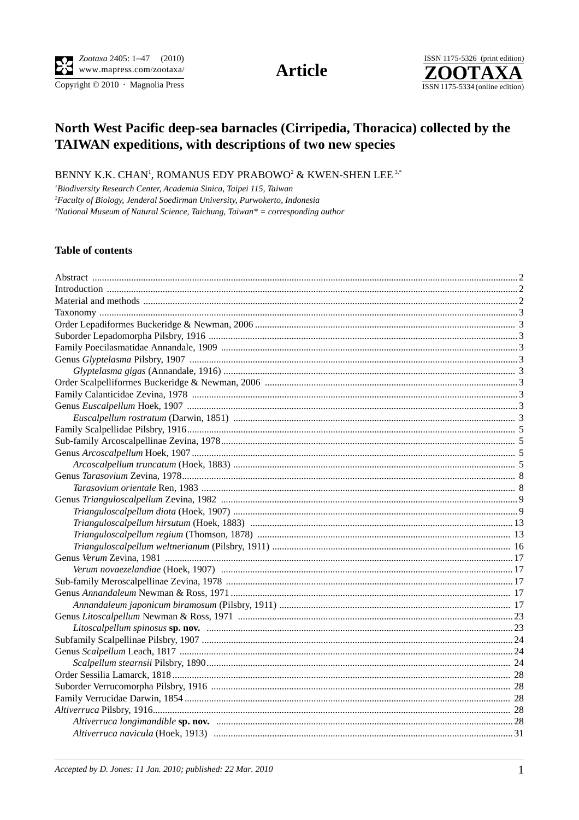Copyright © 2010 · Magnolia Press

**Article** 



# North West Pacific deep-sea barnacles (Cirripedia, Thoracica) collected by the TAIWAN expeditions, with descriptions of two new species

BENNY K.K. CHAN<sup>1</sup>, ROMANUS EDY PRABOWO<sup>2</sup> & KWEN-SHEN LEE<sup>3,\*</sup>

<sup>1</sup>Biodiversity Research Center, Academia Sinica, Taipei 115, Taiwan

<sup>2</sup>Faculty of Biology, Jenderal Soedirman University, Purwokerto, Indonesia

 ${}^{3}$ National Museum of Natural Science, Taichung, Taiwan ${}^{*}$  = corresponding author

## **Table of contents**